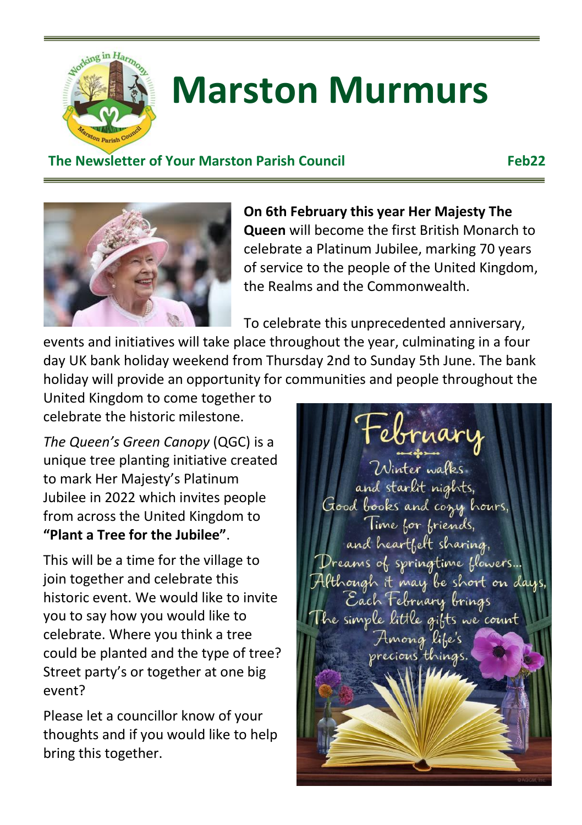

# **Marston Murmurs**

#### **The Newsletter of Your Marston Parish Council Feb22**



**On 6th February this year Her Majesty The Queen** will become the first British Monarch to celebrate a Platinum Jubilee, marking 70 years of service to the people of the United Kingdom, the Realms and the Commonwealth.

To celebrate this unprecedented anniversary,

events and initiatives will take place throughout the year, culminating in a four day UK bank holiday weekend from Thursday 2nd to Sunday 5th June. The bank holiday will provide an opportunity for communities and people throughout the

United Kingdom to come together to celebrate the historic milestone.

*The Queen's Green Canopy* (QGC) is a unique tree planting initiative created to mark Her Majesty's Platinum Jubilee in 2022 which invites people from across the United Kingdom to **"Plant a Tree for the Jubilee"**.

This will be a time for the village to join together and celebrate this historic event. We would like to invite you to say how you would like to celebrate. Where you think a tree could be planted and the type of tree? Street party's or together at one big event?

Please let a councillor know of your thoughts and if you would like to help bring this together.

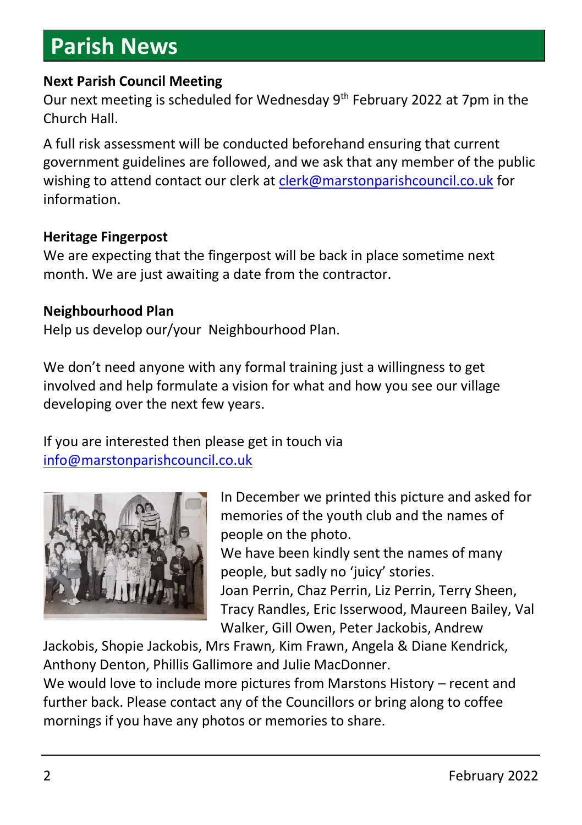## **Parish News**

#### **Next Parish Council Meeting**

Our next meeting is scheduled for Wednesday 9<sup>th</sup> February 2022 at 7pm in the Church Hall.

A full risk assessment will be conducted beforehand ensuring that current government guidelines are followed, and we ask that any member of the public wishing to attend contact our clerk at [clerk@marstonparishcouncil.co.uk](mailto:clerk@marstonparishcouncil.co.uk) for information.

#### **Heritage Fingerpost**

We are expecting that the fingerpost will be back in place sometime next month. We are just awaiting a date from the contractor.

#### **Neighbourhood Plan**

Help us develop our/your Neighbourhood Plan.

We don't need anyone with any formal training just a willingness to get involved and help formulate a vision for what and how you see our village developing over the next few years.

If you are interested then please get in touch via [info@marstonparishcouncil.co.uk](mailto:info@marstonparishcouncil.co.uk)



In December we printed this picture and asked for memories of the youth club and the names of people on the photo.

We have been kindly sent the names of many people, but sadly no 'juicy' stories.

Joan Perrin, Chaz Perrin, Liz Perrin, Terry Sheen, Tracy Randles, Eric Isserwood, Maureen Bailey, Val Walker, Gill Owen, Peter Jackobis, Andrew

Jackobis, Shopie Jackobis, Mrs Frawn, Kim Frawn, Angela & Diane Kendrick, Anthony Denton, Phillis Gallimore and Julie MacDonner.

We would love to include more pictures from Marstons History – recent and further back. Please contact any of the Councillors or bring along to coffee mornings if you have any photos or memories to share.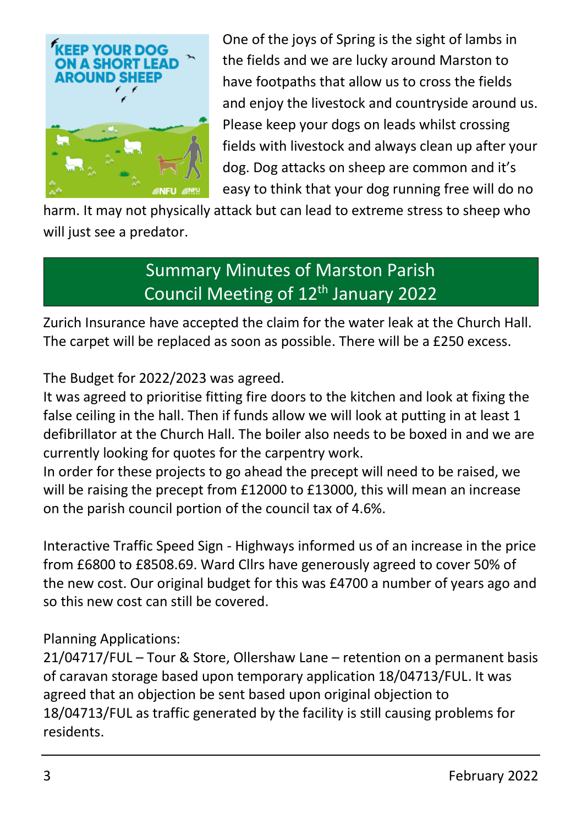

One of the joys of Spring is the sight of lambs in the fields and we are lucky around Marston to have footpaths that allow us to cross the fields and enjoy the livestock and countryside around us. Please keep your dogs on leads whilst crossing fields with livestock and always clean up after your dog. Dog attacks on sheep are common and it's easy to think that your dog running free will do no

harm. It may not physically attack but can lead to extreme stress to sheep who will just see a predator.

### Summary Minutes of Marston Parish Council Meeting of 12<sup>th</sup> January 2022

Zurich Insurance have accepted the claim for the water leak at the Church Hall. The carpet will be replaced as soon as possible. There will be a £250 excess.

The Budget for 2022/2023 was agreed.

It was agreed to prioritise fitting fire doors to the kitchen and look at fixing the false ceiling in the hall. Then if funds allow we will look at putting in at least 1 defibrillator at the Church Hall. The boiler also needs to be boxed in and we are currently looking for quotes for the carpentry work.

In order for these projects to go ahead the precept will need to be raised, we will be raising the precept from £12000 to £13000, this will mean an increase on the parish council portion of the council tax of 4.6%.

Interactive Traffic Speed Sign - Highways informed us of an increase in the price from £6800 to £8508.69. Ward Cllrs have generously agreed to cover 50% of the new cost. Our original budget for this was £4700 a number of years ago and so this new cost can still be covered.

#### Planning Applications:

21/04717/FUL – Tour & Store, Ollershaw Lane – retention on a permanent basis of caravan storage based upon temporary application 18/04713/FUL. It was agreed that an objection be sent based upon original objection to 18/04713/FUL as traffic generated by the facility is still causing problems for residents.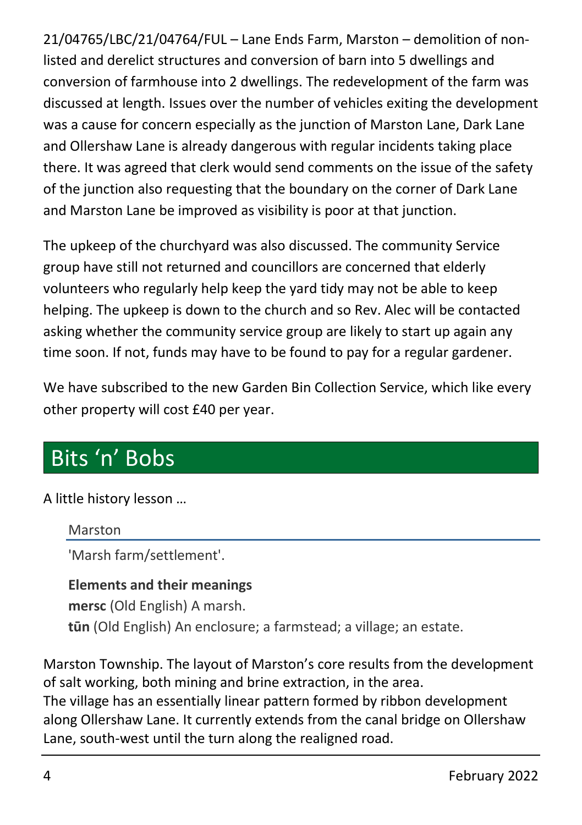21/04765/LBC/21/04764/FUL – Lane Ends Farm, Marston – demolition of nonlisted and derelict structures and conversion of barn into 5 dwellings and conversion of farmhouse into 2 dwellings. The redevelopment of the farm was discussed at length. Issues over the number of vehicles exiting the development was a cause for concern especially as the junction of Marston Lane, Dark Lane and Ollershaw Lane is already dangerous with regular incidents taking place there. It was agreed that clerk would send comments on the issue of the safety of the junction also requesting that the boundary on the corner of Dark Lane and Marston Lane be improved as visibility is poor at that junction.

The upkeep of the churchyard was also discussed. The community Service group have still not returned and councillors are concerned that elderly volunteers who regularly help keep the yard tidy may not be able to keep helping. The upkeep is down to the church and so Rev. Alec will be contacted asking whether the community service group are likely to start up again any time soon. If not, funds may have to be found to pay for a regular gardener.

We have subscribed to the new Garden Bin Collection Service, which like every other property will cost £40 per year.

## Bits 'n' Bobs

#### A little history lesson …

#### Marston

'Marsh farm/settlement'.

#### **Elements and their meanings mersc** (Old English) A marsh. **tūn** (Old English) An enclosure; a farmstead; a village; an estate.

Marston Township. The layout of Marston's core results from the development of salt working, both mining and brine extraction, in the area.

The village has an essentially linear pattern formed by ribbon development along Ollershaw Lane. It currently extends from the canal bridge on Ollershaw Lane, south-west until the turn along the realigned road.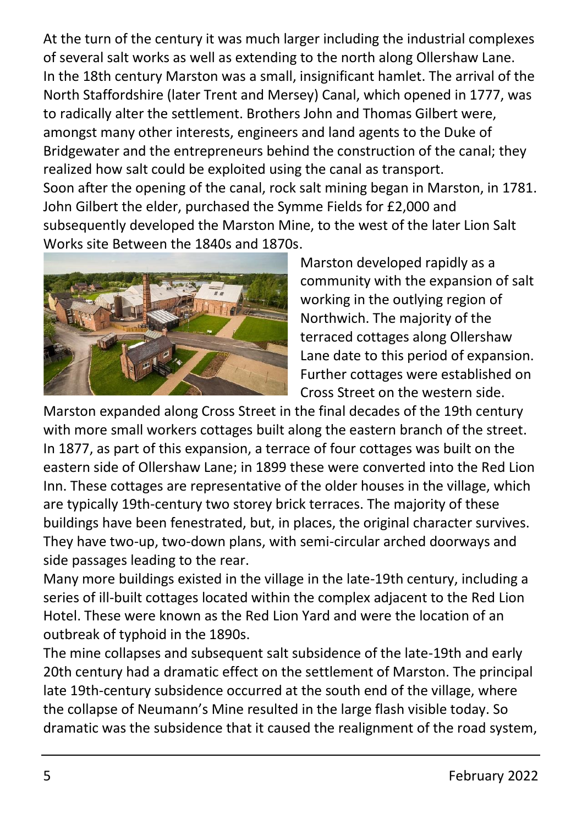At the turn of the century it was much larger including the industrial complexes of several salt works as well as extending to the north along Ollershaw Lane. In the 18th century Marston was a small, insignificant hamlet. The arrival of the North Staffordshire (later Trent and Mersey) Canal, which opened in 1777, was to radically alter the settlement. Brothers John and Thomas Gilbert were, amongst many other interests, engineers and land agents to the Duke of Bridgewater and the entrepreneurs behind the construction of the canal; they realized how salt could be exploited using the canal as transport. Soon after the opening of the canal, rock salt mining began in Marston, in 1781. John Gilbert the elder, purchased the Symme Fields for £2,000 and subsequently developed the Marston Mine, to the west of the later Lion Salt Works site Between the 1840s and 1870s.



Marston developed rapidly as a community with the expansion of salt working in the outlying region of Northwich. The majority of the terraced cottages along Ollershaw Lane date to this period of expansion. Further cottages were established on Cross Street on the western side.

Marston expanded along Cross Street in the final decades of the 19th century with more small workers cottages built along the eastern branch of the street. In 1877, as part of this expansion, a terrace of four cottages was built on the eastern side of Ollershaw Lane; in 1899 these were converted into the Red Lion Inn. These cottages are representative of the older houses in the village, which are typically 19th-century two storey brick terraces. The majority of these buildings have been fenestrated, but, in places, the original character survives. They have two-up, two-down plans, with semi-circular arched doorways and side passages leading to the rear.

Many more buildings existed in the village in the late-19th century, including a series of ill-built cottages located within the complex adjacent to the Red Lion Hotel. These were known as the Red Lion Yard and were the location of an outbreak of typhoid in the 1890s.

The mine collapses and subsequent salt subsidence of the late-19th and early 20th century had a dramatic effect on the settlement of Marston. The principal late 19th-century subsidence occurred at the south end of the village, where the collapse of Neumann's Mine resulted in the large flash visible today. So dramatic was the subsidence that it caused the realignment of the road system,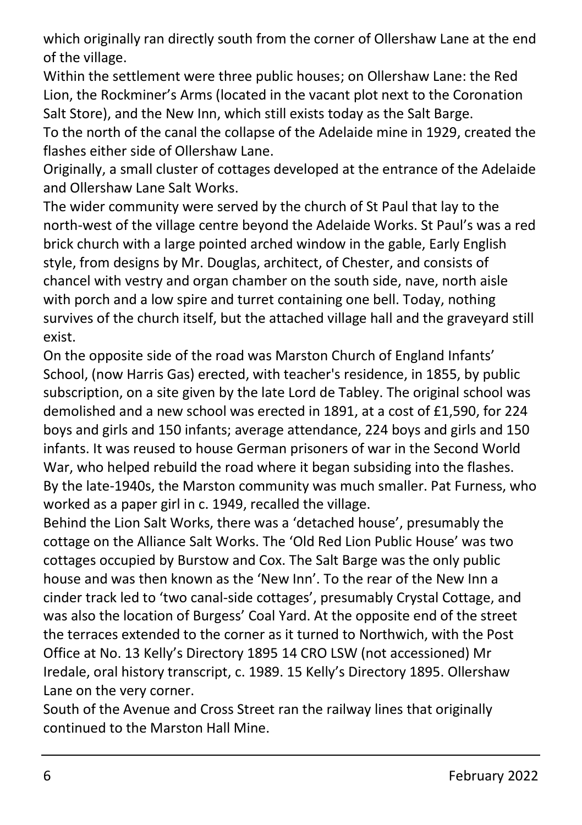which originally ran directly south from the corner of Ollershaw Lane at the end of the village.

Within the settlement were three public houses; on Ollershaw Lane: the Red Lion, the Rockminer's Arms (located in the vacant plot next to the Coronation Salt Store), and the New Inn, which still exists today as the Salt Barge.

To the north of the canal the collapse of the Adelaide mine in 1929, created the flashes either side of Ollershaw Lane.

Originally, a small cluster of cottages developed at the entrance of the Adelaide and Ollershaw Lane Salt Works.

The wider community were served by the church of St Paul that lay to the north-west of the village centre beyond the Adelaide Works. St Paul's was a red brick church with a large pointed arched window in the gable, Early English style, from designs by Mr. Douglas, architect, of Chester, and consists of chancel with vestry and organ chamber on the south side, nave, north aisle with porch and a low spire and turret containing one bell. Today, nothing survives of the church itself, but the attached village hall and the graveyard still exist.

On the opposite side of the road was Marston Church of England Infants' School, (now Harris Gas) erected, with teacher's residence, in 1855, by public subscription, on a site given by the late Lord de Tabley. The original school was demolished and a new school was erected in 1891, at a cost of £1,590, for 224 boys and girls and 150 infants; average attendance, 224 boys and girls and 150 infants. It was reused to house German prisoners of war in the Second World War, who helped rebuild the road where it began subsiding into the flashes. By the late-1940s, the Marston community was much smaller. Pat Furness, who worked as a paper girl in c. 1949, recalled the village.

Behind the Lion Salt Works, there was a 'detached house', presumably the cottage on the Alliance Salt Works. The 'Old Red Lion Public House' was two cottages occupied by Burstow and Cox. The Salt Barge was the only public house and was then known as the 'New Inn'. To the rear of the New Inn a cinder track led to 'two canal-side cottages', presumably Crystal Cottage, and was also the location of Burgess' Coal Yard. At the opposite end of the street the terraces extended to the corner as it turned to Northwich, with the Post Office at No. 13 Kelly's Directory 1895 14 CRO LSW (not accessioned) Mr Iredale, oral history transcript, c. 1989. 15 Kelly's Directory 1895. Ollershaw Lane on the very corner.

South of the Avenue and Cross Street ran the railway lines that originally continued to the Marston Hall Mine.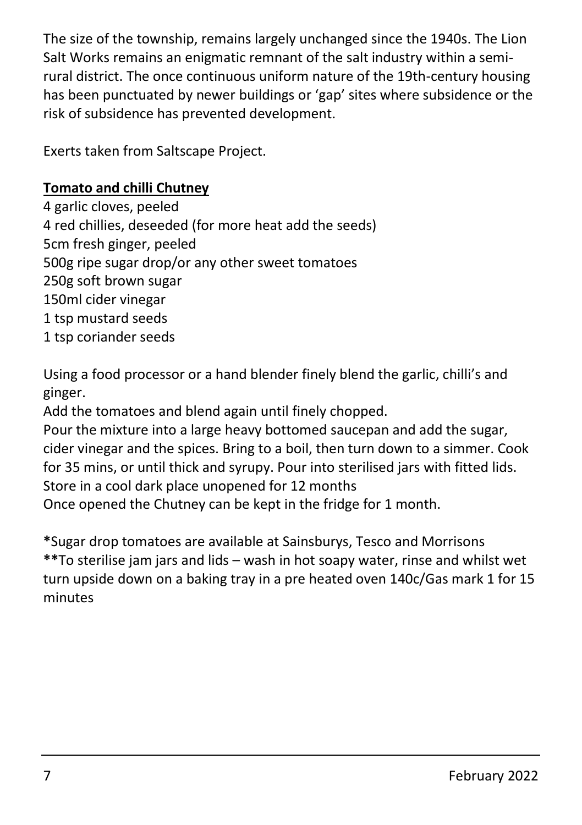The size of the township, remains largely unchanged since the 1940s. The Lion Salt Works remains an enigmatic remnant of the salt industry within a semirural district. The once continuous uniform nature of the 19th-century housing has been punctuated by newer buildings or 'gap' sites where subsidence or the risk of subsidence has prevented development.

Exerts taken from Saltscape Project.

#### **Tomato and chilli Chutney**

4 garlic cloves, peeled 4 red chillies, deseeded (for more heat add the seeds) 5cm fresh ginger, peeled 500g ripe sugar drop/or any other sweet tomatoes 250g soft brown sugar 150ml cider vinegar 1 tsp mustard seeds 1 tsp coriander seeds

Using a food processor or a hand blender finely blend the garlic, chilli's and ginger.

Add the tomatoes and blend again until finely chopped.

Pour the mixture into a large heavy bottomed saucepan and add the sugar, cider vinegar and the spices. Bring to a boil, then turn down to a simmer. Cook for 35 mins, or until thick and syrupy. Pour into sterilised jars with fitted lids. Store in a cool dark place unopened for 12 months Once opened the Chutney can be kept in the fridge for 1 month.

**\***Sugar drop tomatoes are available at Sainsburys, Tesco and Morrisons **\*\***To sterilise jam jars and lids – wash in hot soapy water, rinse and whilst wet turn upside down on a baking tray in a pre heated oven 140c/Gas mark 1 for 15 minutes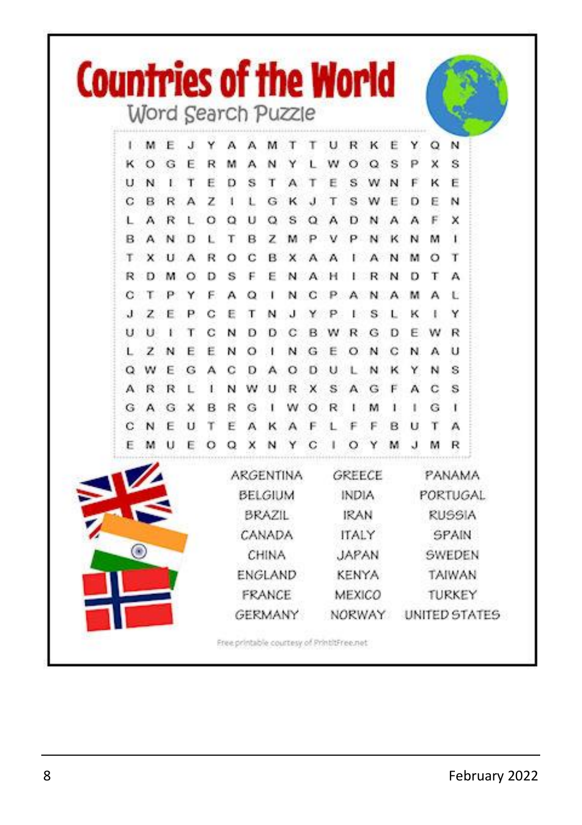|   | Word Search Puzzle |   |    |    |                                                   |         |   |                                             |                        | <b>Countries of the World</b> |        |                                           |               |        |        |        |
|---|--------------------|---|----|----|---------------------------------------------------|---------|---|---------------------------------------------|------------------------|-------------------------------|--------|-------------------------------------------|---------------|--------|--------|--------|
|   |                    |   |    |    |                                                   |         |   |                                             |                        |                               |        |                                           |               |        |        |        |
|   | м<br>O             | G | F  | R  | м                                                 | A       | N |                                             |                        | U                             | R<br>Ω | O                                         | s             | Y<br>P | Q<br>x | N<br>Ś |
| U | N                  | ı | T  | Е  | Ð                                                 | s       | T |                                             |                        |                               | s      |                                           | N             | F      | κ      | Ë      |
| C | в                  | R | A  | z  | 1                                                 | Ľ       | G | κ                                           |                        | т                             | s      | w                                         | E             | D      | E      | N      |
| L | А                  | R | Ľ  | O  | a                                                 | υ       | O | s                                           | O                      |                               |        |                                           |               | А      | F      | ×      |
| B | А                  |   | D  | Ł  | т                                                 | B       | z | M                                           |                        |                               |        |                                           | к             | N      | м      | ı      |
| т | x                  |   | A  | R  | $\Omega$                                          | c       | B | ×                                           |                        |                               |        |                                           |               | м      | ο      | т      |
| R | D                  |   | Ο  | D  | s                                                 | F       | F | N                                           |                        |                               |        |                                           |               | D      | т      | А      |
| с |                    |   | Y  | F  | А                                                 | ο       |   | N                                           |                        |                               |        |                                           |               | м      | А      | E      |
| э | z                  |   | Р  | с  | Ε                                                 | т       | Ν |                                             |                        |                               |        | s                                         |               | ĸ      |        | Y      |
| и | u                  |   | т  | с  | N                                                 | Ð       | Ð | с                                           |                        |                               |        | G                                         | D             | E      | w      | R      |
|   | Ż                  | Ν | E  | Ë  | N                                                 | $\circ$ |   | N                                           | G                      | E                             | О      | N                                         | с             | N      | А      | υ      |
| o | w                  | E | G  | А  | c                                                 | Ð       | А | о                                           | D                      | U                             |        | N                                         | к             | Y      | N      | s      |
| А | R                  | R | E. | ï. | N                                                 | w       | U | R                                           | ×                      | s                             | А      | G                                         | F             | A      | с      | s      |
| G | А                  | G | ×  | в  | R                                                 | G       | 1 | w                                           | O                      | R                             |        | м                                         | ı             | ١      | G      | ı      |
| с | N                  | F | U  | т  | Ë                                                 | A       | к |                                             |                        |                               |        |                                           | R             | U      | т      | А      |
| F |                    |   | E  | о  | O                                                 | ×       |   |                                             | С                      |                               | O      |                                           |               | J      | м      | R      |
|   |                    |   |    |    | ARGENTINA<br>BELGIUM<br>BRAZIL<br>CANADA<br>CHINA |         |   |                                             | GREECE                 |                               |        |                                           | PANAMA        |        |        |        |
|   |                    |   |    |    |                                                   |         |   | <b>INDIA</b><br><b>IRAN</b><br><b>ITALY</b> |                        |                               |        | PORTUGAL<br><b>RUSSIA</b><br><b>SPAIN</b> |               |        |        |        |
|   |                    |   |    |    |                                                   |         |   |                                             |                        |                               |        |                                           |               |        |        |        |
|   |                    |   |    |    |                                                   |         |   |                                             |                        |                               |        |                                           |               |        |        |        |
|   | €                  |   |    |    |                                                   |         |   |                                             | <b>JAPAN</b>           |                               |        |                                           | SWEDEN        |        |        |        |
|   |                    |   |    |    | <b>ENGLAND</b><br>FRANCE<br><b>GERMANY</b>        |         |   |                                             | <b>KENYA</b><br>MEXICO |                               |        |                                           | TAIWAN        |        |        |        |
|   |                    |   |    |    |                                                   |         |   |                                             |                        |                               |        |                                           | TURKEY        |        |        |        |
|   |                    |   |    |    |                                                   |         |   |                                             | NORWAY                 |                               |        |                                           | UNITED STATES |        |        |        |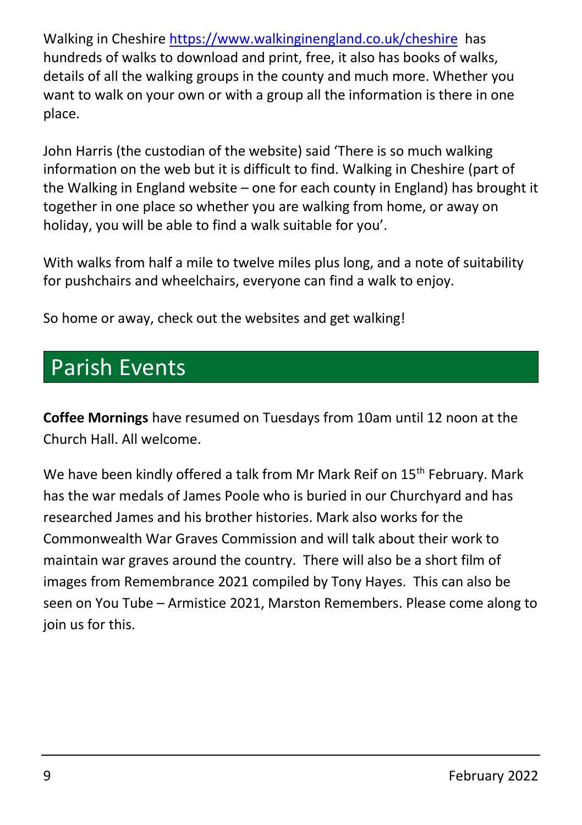Walking in Cheshire<https://www.walkinginengland.co.uk/cheshire> has hundreds of walks to download and print, free, it also has books of walks, details of all the walking groups in the county and much more. Whether you want to walk on your own or with a group all the information is there in one place.

John Harris (the custodian of the website) said 'There is so much walking information on the web but it is difficult to find. Walking in Cheshire (part of the Walking in England website – one for each county in England) has brought it together in one place so whether you are walking from home, or away on holiday, you will be able to find a walk suitable for you'.

With walks from half a mile to twelve miles plus long, and a note of suitability for pushchairs and wheelchairs, everyone can find a walk to enjoy.

So home or away, check out the websites and get walking!

## Parish Events

**Coffee Mornings** have resumed on Tuesdays from 10am until 12 noon at the Church Hall. All welcome.

We have been kindly offered a talk from Mr Mark Reif on 15<sup>th</sup> February. Mark has the war medals of James Poole who is buried in our Churchyard and has researched James and his brother histories. Mark also works for the Commonwealth War Graves Commission and will talk about their work to maintain war graves around the country. There will also be a short film of images from Remembrance 2021 compiled by Tony Hayes. This can also be seen on You Tube – Armistice 2021, Marston Remembers. Please come along to join us for this.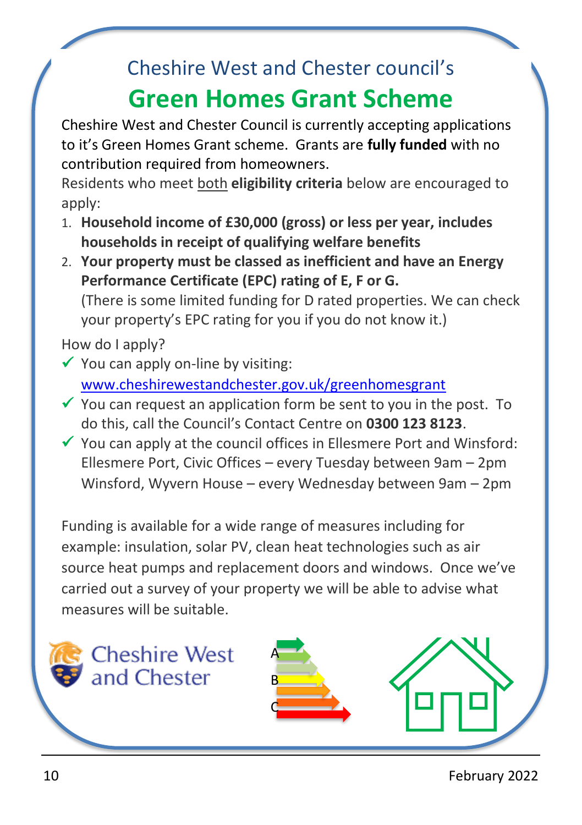## Cheshire West and Chester council's

## **Green Homes Grant Scheme**

Cheshire West and Chester Council is currently accepting applications to it's Green Homes Grant scheme. Grants are **fully funded** with no contribution required from homeowners.

Residents who meet both **eligibility criteria** below are encouraged to apply:

- 1. **Household income of £30,000 (gross) or less per year, includes households in receipt of qualifying welfare benefits**
- 2. **Your property must be classed as inefficient and have an Energy Performance Certificate (EPC) rating of E, F or G.**  (There is some limited funding for D rated properties. We can check your property's EPC rating for you if you do not know it.)

How do I apply?

- $\checkmark$  You can apply on-line by visiting: [www.cheshirewestandchester.gov.uk/greenhomesgrant](http://www.cheshirewestandchester.gov.uk/greenhomesgrant)
- $\checkmark$  You can request an application form be sent to you in the post. To do this, call the Council's Contact Centre on **0300 123 8123**.
- $\checkmark$  You can apply at the council offices in Ellesmere Port and Winsford: Ellesmere Port, Civic Offices – every Tuesday between 9am – 2pm Winsford, Wyvern House – every Wednesday between 9am – 2pm

Funding is available for a wide range of measures including for example: insulation, solar PV, clean heat technologies such as air source heat pumps and replacement doors and windows. Once we've carried out a survey of your property we will be able to advise what measures will be suitable.





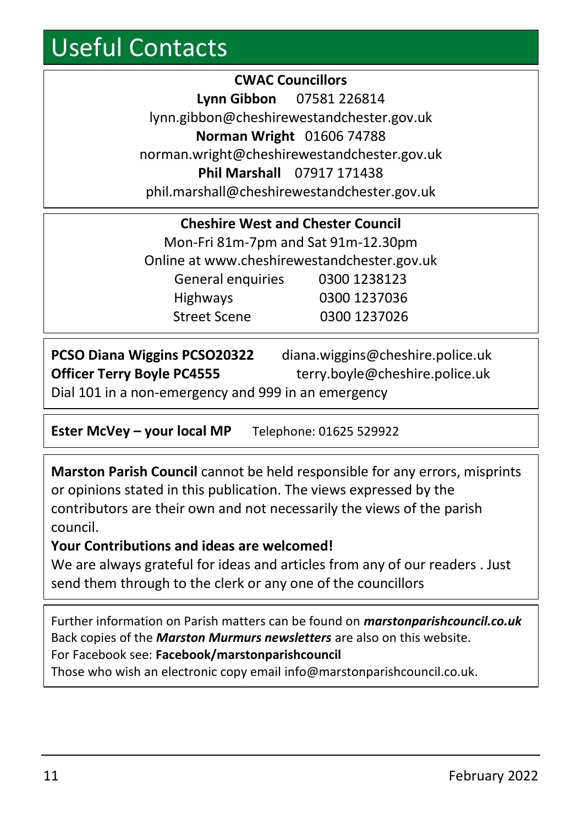## Useful Contacts

**CWAC Councillors Lynn Gibbon** 07581 226814 lynn.gibbon@cheshirewestandchester.gov.uk **Norman Wright** 01606 74788 norman.wright@cheshirewestandchester.gov.uk **Phil Marshall** 07917 171438 phil.marshall@cheshirewestandchester.gov.uk

| <b>Cheshire West and Chester Council</b>    |              |  |  |  |  |  |
|---------------------------------------------|--------------|--|--|--|--|--|
| Mon-Fri 81m-7pm and Sat 91m-12.30pm         |              |  |  |  |  |  |
| Online at www.cheshirewestandchester.gov.uk |              |  |  |  |  |  |
| General enquiries                           | 0300 1238123 |  |  |  |  |  |
| Highways                                    | 0300 1237036 |  |  |  |  |  |
| <b>Street Scene</b>                         | 0300 1237026 |  |  |  |  |  |

| PCSO Diana Wiggins PCSO20322                        | diana.wiggins@cheshire.police.uk |  |  |  |
|-----------------------------------------------------|----------------------------------|--|--|--|
| <b>Officer Terry Boyle PC4555</b>                   | terry.boyle@cheshire.police.uk   |  |  |  |
| Dial 101 in a non-emergency and 999 in an emergency |                                  |  |  |  |

**Ester McVey – your local MP** Telephone: 01625 529922

**Marston Parish Council** cannot be held responsible for any errors, misprints or opinions stated in this publication. The views expressed by the contributors are their own and not necessarily the views of the parish council.

#### **Your Contributions and ideas are welcomed!**

We are always grateful for ideas and articles from any of our readers . Just send them through to the clerk or any one of the councillors

Further information on Parish matters can be found on *marstonparishcouncil.co.uk* Back copies of the *Marston Murmurs newsletters* are also on this website. For Facebook see: **Facebook/marstonparishcouncil**

Those who wish an electronic copy email info@marstonparishcouncil.co.uk.